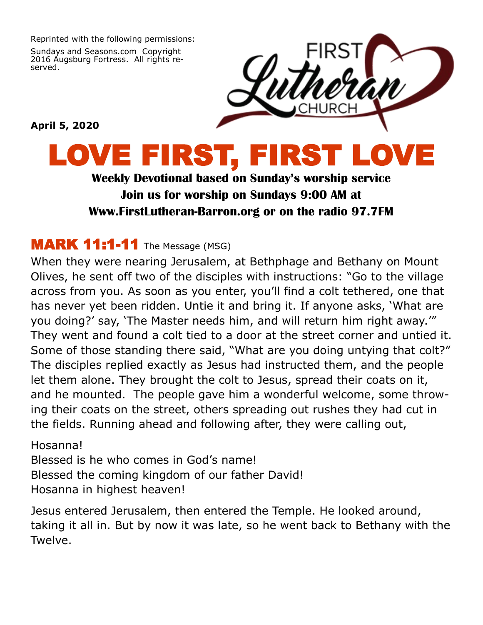Reprinted with the following permissions:

Sundays and Seasons.com Copyright 2016 Augsburg Fortress. All rights reserved.



**April 5, 2020**

## LOVE FIRST, FIRST

**Weekly Devotional based on Sunday's worship service Join us for worship on Sundays 9:00 AM at Www.FirstLutheran-Barron.org or on the radio 97.7FM**

## **MARK 11:1-11** The Message (MSG)

When they were nearing Jerusalem, at Bethphage and Bethany on Mount Olives, he sent off two of the disciples with instructions: "Go to the village across from you. As soon as you enter, you'll find a colt tethered, one that has never yet been ridden. Untie it and bring it. If anyone asks, 'What are you doing?' say, 'The Master needs him, and will return him right away.'" They went and found a colt tied to a door at the street corner and untied it. Some of those standing there said, "What are you doing untying that colt?" The disciples replied exactly as Jesus had instructed them, and the people let them alone. They brought the colt to Jesus, spread their coats on it, and he mounted. The people gave him a wonderful welcome, some throwing their coats on the street, others spreading out rushes they had cut in the fields. Running ahead and following after, they were calling out,

Hosanna! Blessed is he who comes in God's name! Blessed the coming kingdom of our father David! Hosanna in highest heaven!

Jesus entered Jerusalem, then entered the Temple. He looked around, taking it all in. But by now it was late, so he went back to Bethany with the Twelve.